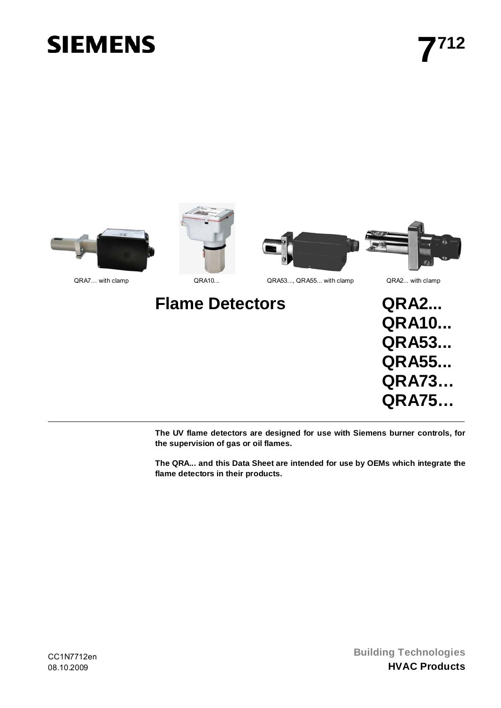# **SIEMENS**



**The UV flame detectors are designed for use with Siemens burner controls, for the supervision of gas or oil flames.** 

**The QRA... and this Data Sheet are intended for use by OEMs which integrate the flame detectors in their products.**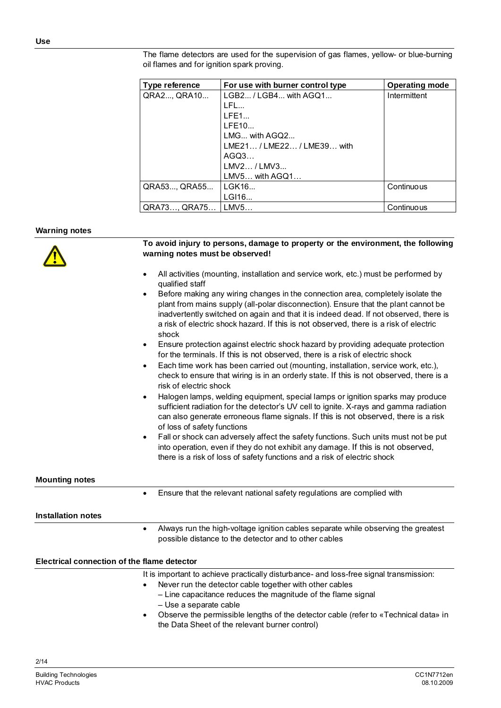The flame detectors are used for the supervision of gas flames, yellow- or blue-burning oil flames and for ignition spark proving.

| Type reference | For use with burner control type | <b>Operating mode</b> |
|----------------|----------------------------------|-----------------------|
| QRA2, QRA10    | $LGB2 / LGB4$ with $AGQ1$        | Intermittent          |
|                | LFL                              |                       |
|                | LFE1                             |                       |
|                | LFE10                            |                       |
|                | $LMG$ with $AGQ2$                |                       |
|                | LME21/LME22/LME39 with           |                       |
|                | AGQ3                             |                       |
|                | LMV2 / LMV3                      |                       |
|                | LMV5 with AGQ1                   |                       |
| QRA53, QRA55   | IGK16                            | Continuous            |
|                | LGI16                            |                       |
| QRA73, QRA75   | LMV5                             | Continuous            |

## **Warning notes**

|                                             | To avoid injury to persons, damage to property or the environment, the following<br>warning notes must be observed!                                                                                                                                                                                                                                                           |
|---------------------------------------------|-------------------------------------------------------------------------------------------------------------------------------------------------------------------------------------------------------------------------------------------------------------------------------------------------------------------------------------------------------------------------------|
|                                             | All activities (mounting, installation and service work, etc.) must be performed by<br>$\bullet$<br>qualified staff                                                                                                                                                                                                                                                           |
|                                             | Before making any wiring changes in the connection area, completely isolate the<br>$\bullet$<br>plant from mains supply (all-polar disconnection). Ensure that the plant cannot be<br>inadvertently switched on again and that it is indeed dead. If not observed, there is<br>a risk of electric shock hazard. If this is not observed, there is a risk of electric<br>shock |
|                                             | Ensure protection against electric shock hazard by providing adequate protection<br>٠<br>for the terminals. If this is not observed, there is a risk of electric shock                                                                                                                                                                                                        |
|                                             | Each time work has been carried out (mounting, installation, service work, etc.),<br>$\bullet$<br>check to ensure that wiring is in an orderly state. If this is not observed, there is a<br>risk of electric shock                                                                                                                                                           |
|                                             | Halogen lamps, welding equipment, special lamps or ignition sparks may produce<br>$\bullet$<br>sufficient radiation for the detector's UV cell to ignite. X-rays and gamma radiation<br>can also generate erroneous flame signals. If this is not observed, there is a risk<br>of loss of safety functions                                                                    |
|                                             | Fall or shock can adversely affect the safety functions. Such units must not be put<br>$\bullet$<br>into operation, even if they do not exhibit any damage. If this is not observed,<br>there is a risk of loss of safety functions and a risk of electric shock                                                                                                              |
| <b>Mounting notes</b>                       |                                                                                                                                                                                                                                                                                                                                                                               |
|                                             | Ensure that the relevant national safety regulations are complied with<br>$\bullet$                                                                                                                                                                                                                                                                                           |
| <b>Installation notes</b>                   |                                                                                                                                                                                                                                                                                                                                                                               |
|                                             | Always run the high-voltage ignition cables separate while observing the greatest<br>$\bullet$<br>possible distance to the detector and to other cables                                                                                                                                                                                                                       |
| Electrical connection of the flame detector |                                                                                                                                                                                                                                                                                                                                                                               |
|                                             | It is important to achieve practically disturbance- and loss-free signal transmission:<br>Never run the detector cable together with other cables<br>$\bullet$<br>- Line capacitance reduces the magnitude of the flame signal<br>- Use a separate cable<br>Observe the permissible lengths of the detector cable (refer to «Technical data» in<br>$\bullet$                  |
|                                             | the Data Sheet of the relevant burner control)                                                                                                                                                                                                                                                                                                                                |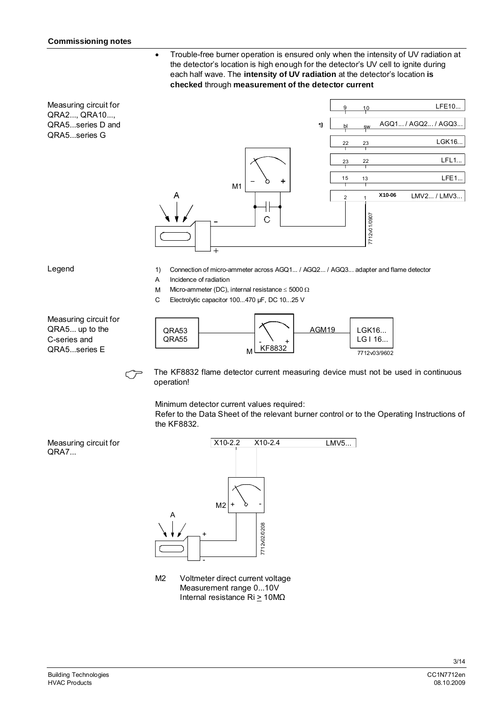• Trouble-free burner operation is ensured only when the intensity of UV radiation at the detector's location is high enough for the detector's UV cell to ignite during each half wave. The **intensity of UV radiation** at the detector's location **is checked** through **measurement of the detector current**

Measuring circuit for QRA2..., QRA10..., QRA5...series D and QRA5...series G



#### Legend

- 1) Connection of micro-ammeter across AGQ1... / AGQ2... / AGQ3... adapter and flame detector
- A Incidence of radiation
- M Micro-ammeter (DC), internal resistance  $\leq 5000 \Omega$
- C Electrolytic capacitor 100...470 µF, DC 10...25 V



The KF8832 flame detector current measuring device must not be used in continuous operation!

Minimum detector current values required:

Refer to the Data Sheet of the relevant burner control or to the Operating Instructions of the KF8832.



M<sub>2</sub> Voltmeter direct current voltage Measurement range 0...10V Internal resistance Ri > 10MΩ

Measuring circuit for QRA7...

Measuring circuit for QRA5... up to the C-series and QRA5...series E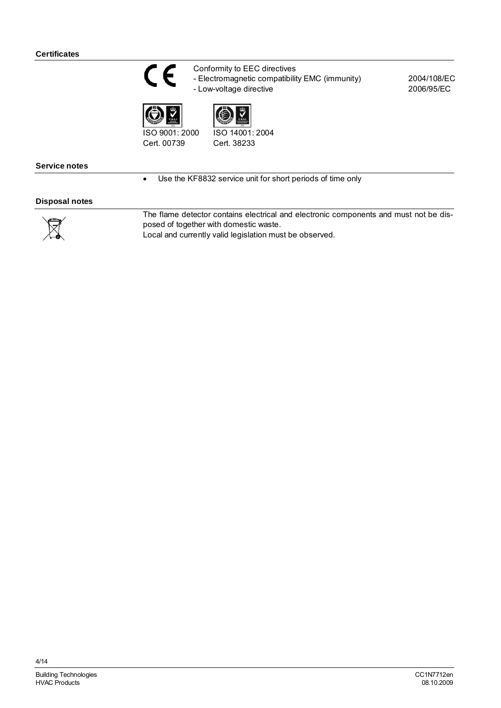

Conformity to EEC directives - Electromagnetic compatibility EMC (immunity)

- Low-voltage directive





Cert. 00739

ISO 14001: 2004 Cert. 38233

## **Service notes**

• Use the KF8832 service unit for short periods of time only

# **Disposal notes**

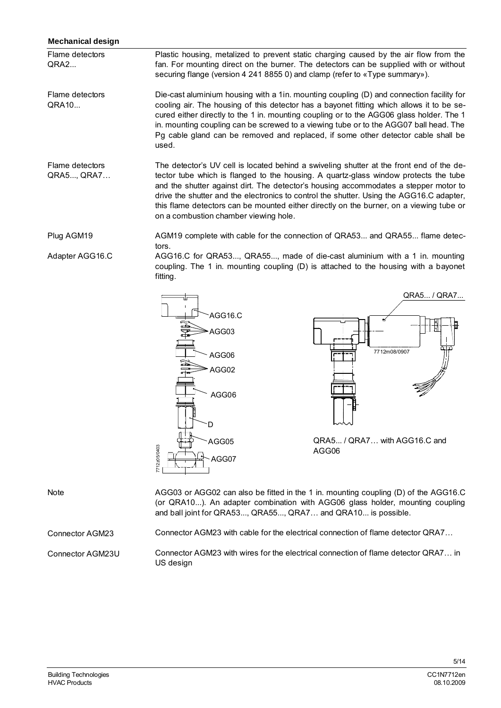## **Mechanical design**

Plastic housing, metalized to prevent static charging caused by the air flow from the fan. For mounting direct on the burner. The detectors can be supplied with or without securing flange (version 4 241 8855 0) and clamp (refer to «Type summary»). Flame detectors  $ORA2...$ 

Die-cast aluminium housing with a 1in. mounting coupling (D) and connection facility for cooling air. The housing of this detector has a bayonet fitting which allows it to be secured either directly to the 1 in. mounting coupling or to the AGG06 glass holder. The 1 in. mounting coupling can be screwed to a viewing tube or to the AGG07 ball head. The Pg cable gland can be removed and replaced, if some other detector cable shall be used. Flame detectors QRA10...

The detector's UV cell is located behind a swiveling shutter at the front end of the detector tube which is flanged to the housing. A quartz-glass window protects the tube and the shutter against dirt. The detector's housing accommodates a stepper motor to drive the shutter and the electronics to control the shutter. Using the AGG16.C adapter, this flame detectors can be mounted either directly on the burner, on a viewing tube or on a combustion chamber viewing hole. Flame detectors QRA5..., QRA7…

AGM19 complete with cable for the connection of QRA53... and QRA55... flame detectors. Plug AGM19

AGG16.C for QRA53..., QRA55..., made of die-cast aluminium with a 1 in. mounting coupling. The 1 in. mounting coupling (D) is attached to the housing with a bayonet fitting. Adapter AGG16.C



AGG03 or AGG02 can also be fitted in the 1 in. mounting coupling (D) of the AGG16.C (or QRA10...). An adapter combination with AGG06 glass holder, mounting coupling and ball joint for QRA53..., QRA55..., QRA7… and QRA10... is possible. Connector AGM23 with cable for the electrical connection of flame detector QRA7… Connector AGM23 with wires for the electrical connection of flame detector QRA7… in US design Note Connector AGM23 Connector AGM23U

Building Technologies CC1N7712en HVAC Products 08.10.2009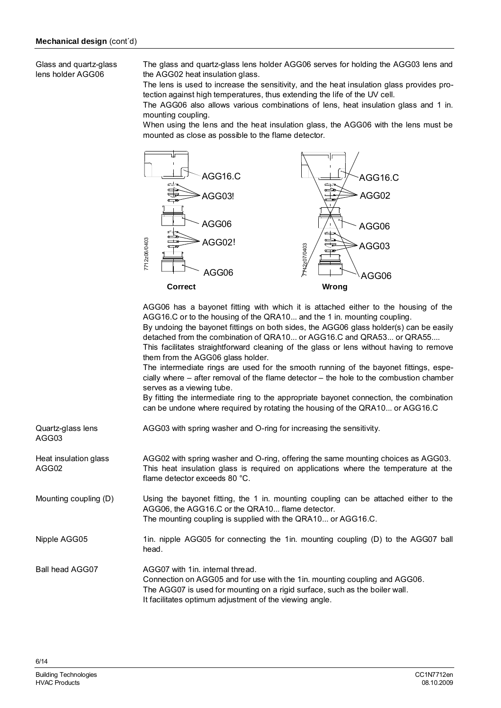Glass and quartz-glass lens holder AGG06

The glass and quartz-glass lens holder AGG06 serves for holding the AGG03 lens and the AGG02 heat insulation glass.

The lens is used to increase the sensitivity, and the heat insulation glass provides protection against high temperatures, thus extending the life of the UV cell.

The AGG06 also allows various combinations of lens, heat insulation glass and 1 in. mounting coupling.

When using the lens and the heat insulation glass, the AGG06 with the lens must be mounted as close as possible to the flame detector.



AGG06 has a bayonet fitting with which it is attached either to the housing of the AGG16.C or to the housing of the QRA10... and the 1 in. mounting coupling. By undoing the bayonet fittings on both sides, the AGG06 glass holder(s) can be easily detached from the combination of QRA10... or AGG16.C and QRA53... or QRA55.... This facilitates straightforward cleaning of the glass or lens without having to remove them from the AGG06 glass holder.

The intermediate rings are used for the smooth running of the bayonet fittings, especially where – after removal of the flame detector – the hole to the combustion chamber serves as a viewing tube.

By fitting the intermediate ring to the appropriate bayonet connection, the combination can be undone where required by rotating the housing of the QRA10... or AGG16.C

| Quartz-glass lens<br>AGG03     | AGG03 with spring washer and O-ring for increasing the sensitivity.                                                                                                                                                                                      |
|--------------------------------|----------------------------------------------------------------------------------------------------------------------------------------------------------------------------------------------------------------------------------------------------------|
| Heat insulation glass<br>AGG02 | AGG02 with spring washer and O-ring, offering the same mounting choices as AGG03.<br>This heat insulation glass is required on applications where the temperature at the<br>flame detector exceeds 80 °C.                                                |
| Mounting coupling (D)          | Using the bayonet fitting, the 1 in. mounting coupling can be attached either to the<br>AGG06, the AGG16.C or the QRA10 flame detector.<br>The mounting coupling is supplied with the QRA10 or AGG16.C.                                                  |
| Nipple AGG05                   | 1in. nipple AGG05 for connecting the 1in. mounting coupling (D) to the AGG07 ball<br>head.                                                                                                                                                               |
| <b>Ball head AGG07</b>         | AGG07 with 1in. internal thread.<br>Connection on AGG05 and for use with the 1in. mounting coupling and AGG06.<br>The AGG07 is used for mounting on a rigid surface, such as the boiler wall.<br>It facilitates optimum adjustment of the viewing angle. |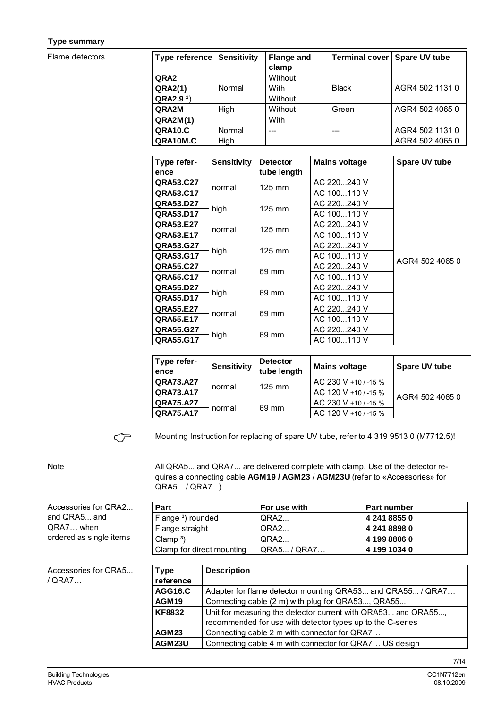## **Type summary**

Flame detectors

| <b>Type reference Sensitivity</b> |        | <b>Flange and</b><br>clamp | <b>Terminal cover</b> | Spare UV tube   |
|-----------------------------------|--------|----------------------------|-----------------------|-----------------|
| QRA <sub>2</sub>                  |        | Without                    |                       |                 |
| QRA2(1)                           | Normal | With                       | <b>Black</b>          | AGR4 502 1131 0 |
| $QRA2.92$ )                       |        | Without                    |                       |                 |
| QRA2M                             | High   | Without                    | Green                 | AGR4 502 4065 0 |
| <b>QRA2M(1)</b>                   |        | With                       |                       |                 |
| <b>QRA10.C</b>                    | Normal | ---                        |                       | AGR4 502 1131 0 |
| QRA10M.C                          | High   |                            |                       | AGR4 502 4065 0 |
|                                   |        |                            |                       |                 |

| Type refer-      | <b>Sensitivity</b> | <b>Detector</b>  | <b>Mains voltage</b> | Spare UV tube   |
|------------------|--------------------|------------------|----------------------|-----------------|
| ence             |                    | tube length      |                      |                 |
| QRA53.C27        | normal             | $125 \text{ mm}$ | AC 220240 V          |                 |
| QRA53.C17        |                    |                  | AC 100110 V          |                 |
| QRA53.D27        | high               | $125 \text{ mm}$ | AC 220240 V          |                 |
| QRA53.D17        |                    |                  | AC 100110 V          |                 |
| QRA53.E27        | normal             | $125 \text{ mm}$ | AC 220  240 V        |                 |
| QRA53.E17        |                    |                  | AC 100110 V          |                 |
| QRA53.G27        | high               | $125 \text{ mm}$ | AC 220240 V          |                 |
| QRA53.G17        |                    |                  | AC 100110 V          | AGR4 502 4065 0 |
| QRA55.C27        | normal             | 69 mm            | AC 220240 V          |                 |
| QRA55.C17        |                    |                  | AC 100110 V          |                 |
| QRA55.D27        |                    |                  | AC 220  240 V        |                 |
| QRA55.D17        | high<br>69 mm      |                  | AC 100110 V          |                 |
| QRA55.E27        | normal             | 69 mm            | AC 220240 V          |                 |
| <b>QRA55.E17</b> |                    |                  | AC 100110 V          |                 |
| QRA55.G27        | high               | 69 mm            | AC 220240 V          |                 |
| QRA55.G17        |                    |                  | AC 100110 V          |                 |

| Type refer-<br>ence | <b>Sensitivity</b> | <b>Detector</b><br>tube length | <b>Mains voltage</b> | Spare UV tube   |
|---------------------|--------------------|--------------------------------|----------------------|-----------------|
| QRA73.A27           |                    | $125 \text{ mm}$               | AC 230 V +10 / -15 % |                 |
| QRA73.A17           | normal             |                                | AC 120 V +10 / -15 % | AGR4 502 4065 0 |
| <b>QRA75.A27</b>    |                    |                                | AC 230 V +10 / -15 % |                 |
| <b>QRA75.A17</b>    | 69 mm<br>normal    |                                | AC 120 V +10/-15 %   |                 |

 $C^{\sim}$ 

Mounting Instruction for replacing of spare UV tube, refer to 4 319 9513 0 (M7712.5)!

## Note

All QRA5... and QRA7... are delivered complete with clamp. Use of the detector requires a connecting cable **AGM19 / AGM23** / **AGM23U** (refer to «Accessories» for QRA5... / QRA7...).

| Part                          | For use with | <b>Part number</b> |
|-------------------------------|--------------|--------------------|
| Flange <sup>3</sup> ) rounded | QRA2         | 4 241 8855 0       |
| Flange straight               | QRA2         | 4 241 8898 0       |
| Clamp <sup>3</sup> )          | QRA2         | 4 199 8806 0       |
| Clamp for direct mounting     | QRA5 / QRA7  | 4 199 1034 0       |

| Accessories for QRA5 |  |
|----------------------|--|
| / QRA7               |  |

Accessories for QRA2... and QRA5... and QRA7… when

ordered as single items

| <b>Type</b>       | <b>Description</b>                                            |
|-------------------|---------------------------------------------------------------|
| reference         |                                                               |
| <b>AGG16.C</b>    | Adapter for flame detector mounting QRA53 and QRA55 / QRA7    |
| AGM <sub>19</sub> | Connecting cable (2 m) with plug for QRA53, QRA55             |
| <b>KF8832</b>     | Unit for measuring the detector current with QRA53 and QRA55, |
|                   | recommended for use with detector types up to the C-series    |
| AGM <sub>23</sub> | Connecting cable 2 m with connector for QRA7                  |
| AGM23U            | Connecting cable 4 m with connector for QRA7 US design        |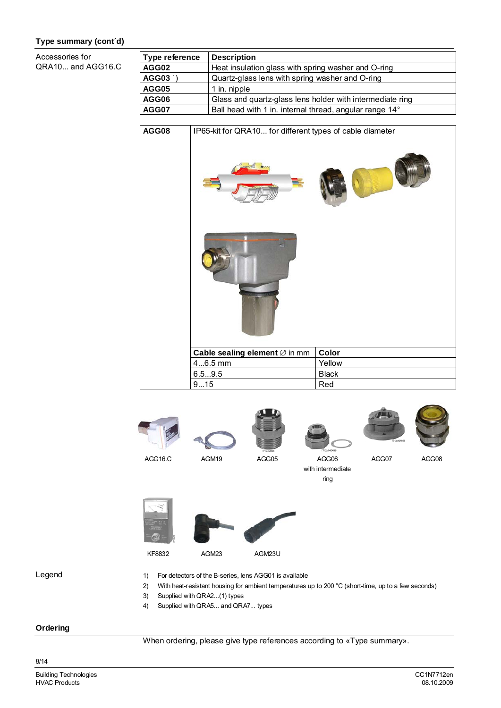## **Type summary (cont´d)**

Accessories for  $QF$ 

| RA10 and AGG16.C | .<br>AGG |
|------------------|----------|
|                  | AGG      |

| Type reference       | <b>Description</b>                                        |
|----------------------|-----------------------------------------------------------|
| AGG02                | Heat insulation glass with spring washer and O-ring       |
| AGG03 <sup>1</sup> ) | Quartz-glass lens with spring washer and O-ring           |
| AGG05                | 1 in. nipple                                              |
| AGG06                | Glass and quartz-glass lens holder with intermediate ring |
| AGG07                | Ball head with 1 in. internal thread, angular range 14°   |
|                      |                                                           |







AGG07 AGG08





- 1) For detectors of the B-series, lens AGG01 is available
- 2) With heat-resistant housing for ambient temperatures up to 200 °C (short-time, up to a few seconds)

ring

- 3) Supplied with QRA2...(1) types
- 4) Supplied with QRA5... and QRA7... types

#### **Ordering**

Legend

When ordering, please give type references according to «Type summary».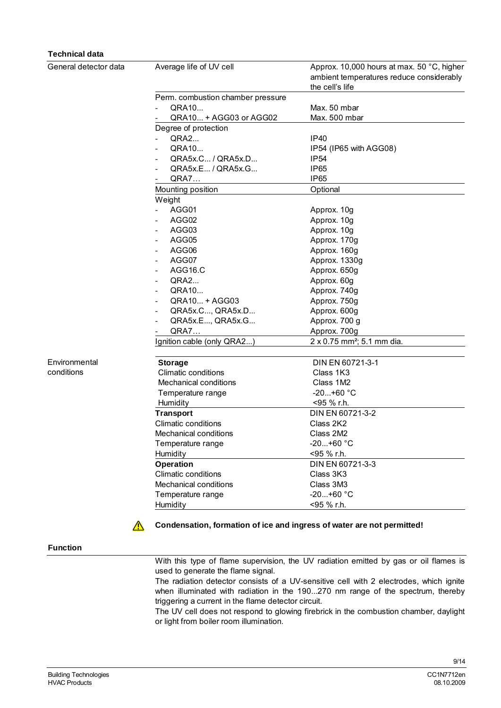| <b>Technical data</b> |                                   |                                                                                                           |
|-----------------------|-----------------------------------|-----------------------------------------------------------------------------------------------------------|
| General detector data | Average life of UV cell           | Approx. 10,000 hours at max. 50 °C, higher<br>ambient temperatures reduce considerably<br>the cell's life |
|                       | Perm. combustion chamber pressure |                                                                                                           |
|                       | QRA10                             | Max. 50 mbar                                                                                              |
|                       | QRA10 + AGG03 or AGG02            | Max. 500 mbar                                                                                             |
|                       | Degree of protection              |                                                                                                           |
|                       | QRA2                              | <b>IP40</b>                                                                                               |
|                       | QRA10                             | IP54 (IP65 with AGG08)                                                                                    |
|                       | QRA5x.C / QRA5x.D                 | <b>IP54</b>                                                                                               |
|                       | QRA5x.E / QRA5x.G                 | <b>IP65</b>                                                                                               |
|                       | <b>QRA7</b>                       | <b>IP65</b>                                                                                               |
|                       | Mounting position                 | Optional                                                                                                  |
|                       |                                   |                                                                                                           |
|                       | Weight                            |                                                                                                           |
|                       | AGG01                             | Approx. 10g                                                                                               |
|                       | AGG02<br>$\sim$                   | Approx. 10g                                                                                               |
|                       | AGG03<br>$\sim$                   | Approx. 10g                                                                                               |
|                       | AGG05<br>$\overline{\phantom{a}}$ | Approx. 170g                                                                                              |
|                       | AGG06                             | Approx. 160g                                                                                              |
|                       | AGG07                             | Approx. 1330g                                                                                             |
|                       | AGG16.C                           | Approx. 650g                                                                                              |
|                       | QRA2<br>$\overline{\phantom{a}}$  | Approx. 60g                                                                                               |
|                       | QRA10<br>$\sim$                   | Approx. 740g                                                                                              |
|                       | QRA10 + AGG03                     | Approx. 750g                                                                                              |
|                       | QRA5x.C, QRA5x.D                  | Approx. 600g                                                                                              |
|                       | QRA5x.E, QRA5x.G                  | Approx. 700 g                                                                                             |
|                       | <b>QRA7</b>                       | Approx. 700g                                                                                              |
|                       | Ignition cable (only QRA2)        | 2 x 0.75 mm <sup>2</sup> ; 5.1 mm dia.                                                                    |
| Environmental         | <b>Storage</b>                    | DIN EN 60721-3-1                                                                                          |
| conditions            | <b>Climatic conditions</b>        | Class 1K3                                                                                                 |
|                       | Mechanical conditions             | Class 1M2                                                                                                 |
|                       | Temperature range                 | $-20+60$ °C                                                                                               |
|                       | Humidity                          | <95 % r.h.                                                                                                |
|                       | <b>Transport</b>                  | DIN EN 60721-3-2                                                                                          |
|                       | Climatic conditions               | Class 2K2                                                                                                 |
|                       | Mechanical conditions             | Class 2M2                                                                                                 |
|                       | Temperature range                 | $-20+60 °C$                                                                                               |
|                       | Humidity                          | <95 % r.h.                                                                                                |
|                       | <b>Operation</b>                  | DIN EN 60721-3-3                                                                                          |
|                       |                                   |                                                                                                           |
|                       | <b>Climatic conditions</b>        | Class 3K3                                                                                                 |
|                       | Mechanical conditions             | Class 3M3                                                                                                 |
|                       | Temperature range                 | $-20+60$ °C                                                                                               |
|                       | Humidity                          | <95 % r.h.                                                                                                |

## **Function**

 $\bigwedge$ 

With this type of flame supervision, the UV radiation emitted by gas or oil flames is used to generate the flame signal.

**Condensation, formation of ice and ingress of water are not permitted!**

The radiation detector consists of a UV-sensitive cell with 2 electrodes, which ignite when illuminated with radiation in the 190...270 nm range of the spectrum, thereby triggering a current in the flame detector circuit.

The UV cell does not respond to glowing firebrick in the combustion chamber, daylight or light from boiler room illumination.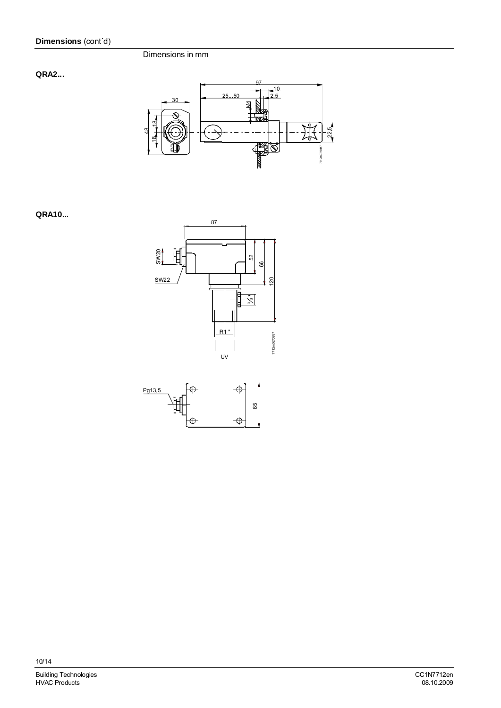## **QRA2...**



## **QRA10...**



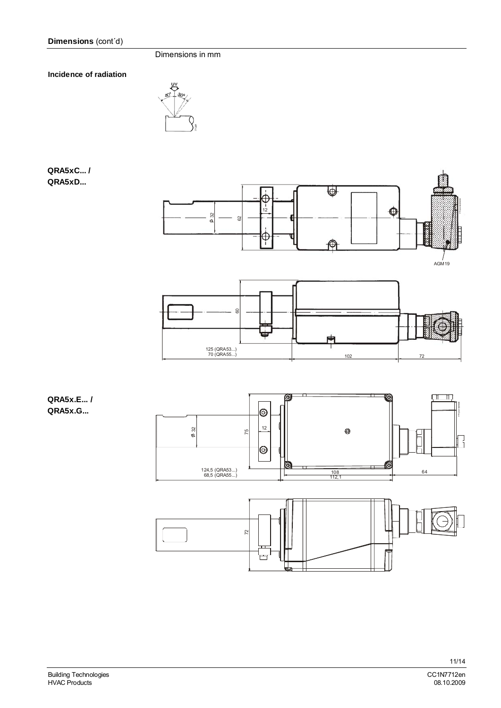**Incidence of radiation** 



## **QRA5xC... / QRA5xD...**



# **QRA5x.E... / QRA5x.G...**

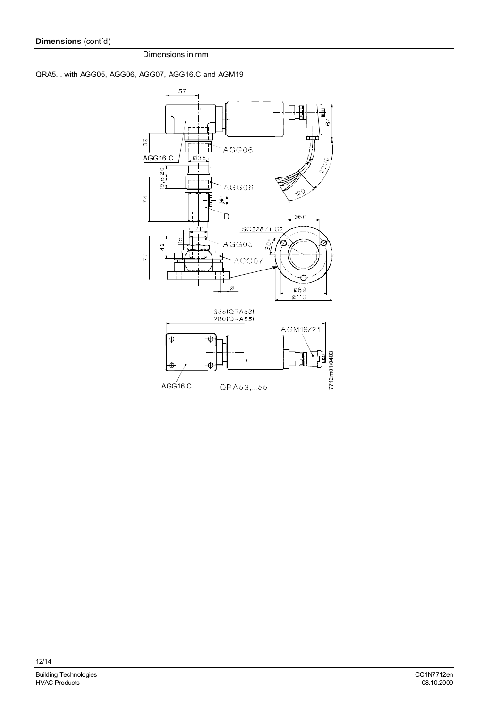QRA5... with AGG05, AGG06, AGG07, AGG16.C and AGM19

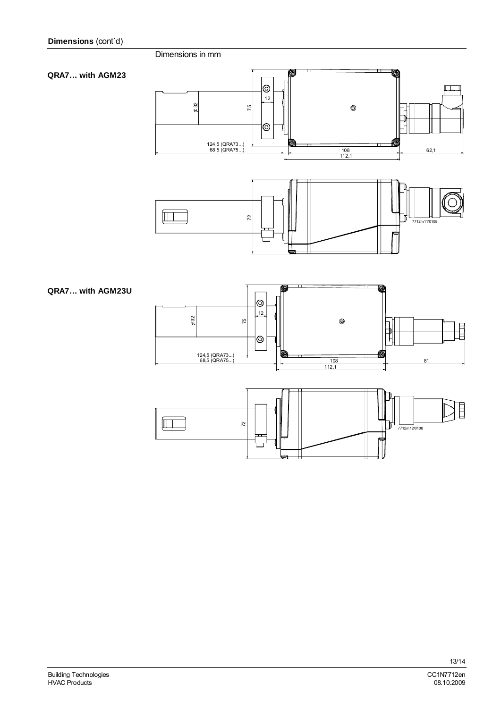**QRA7… with AGM23**